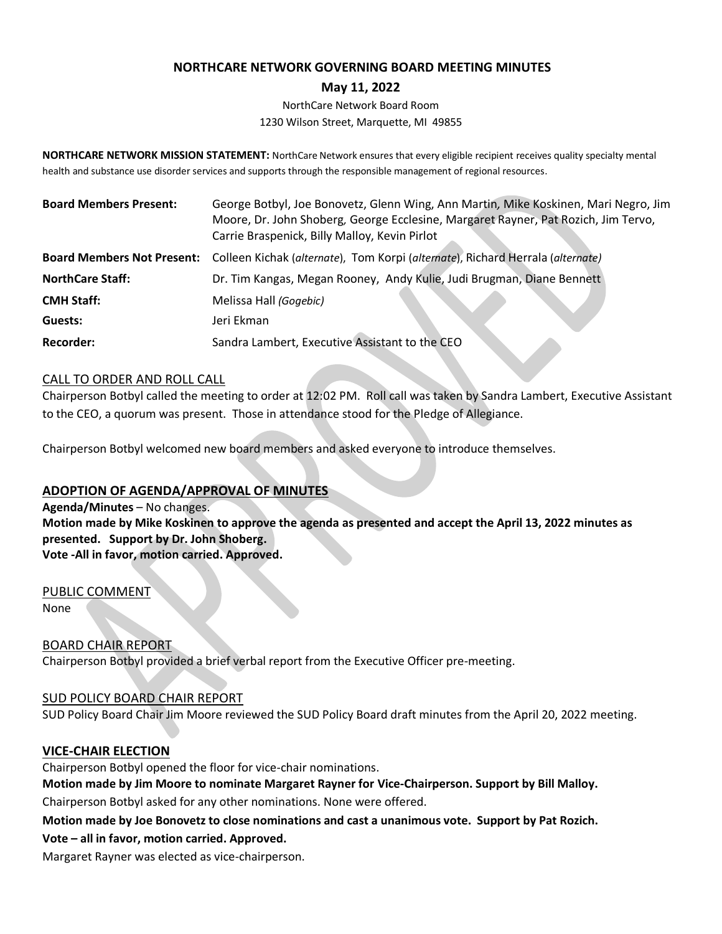## **NORTHCARE NETWORK GOVERNING BOARD MEETING MINUTES**

### **May 11, 2022**

NorthCare Network Board Room 1230 Wilson Street, Marquette, MI 49855

**NORTHCARE NETWORK MISSION STATEMENT:** NorthCare Network ensures that every eligible recipient receives quality specialty mental health and substance use disorder services and supports through the responsible management of regional resources.

| <b>Board Members Present:</b> | George Botbyl, Joe Bonovetz, Glenn Wing, Ann Martin, Mike Koskinen, Mari Negro, Jim<br>Moore, Dr. John Shoberg, George Ecclesine, Margaret Rayner, Pat Rozich, Jim Tervo,<br>Carrie Braspenick, Billy Malloy, Kevin Pirlot |
|-------------------------------|----------------------------------------------------------------------------------------------------------------------------------------------------------------------------------------------------------------------------|
|                               | Board Members Not Present: Colleen Kichak (alternate), Tom Korpi (alternate), Richard Herrala (alternate)                                                                                                                  |
| <b>NorthCare Staff:</b>       | Dr. Tim Kangas, Megan Rooney, Andy Kulie, Judi Brugman, Diane Bennett                                                                                                                                                      |
| <b>CMH Staff:</b>             | Melissa Hall (Gogebic)                                                                                                                                                                                                     |
| Guests:                       | Jeri Ekman                                                                                                                                                                                                                 |
| <b>Recorder:</b>              | Sandra Lambert, Executive Assistant to the CEO                                                                                                                                                                             |

### CALL TO ORDER AND ROLL CALL

Chairperson Botbyl called the meeting to order at 12:02 PM. Roll call was taken by Sandra Lambert, Executive Assistant to the CEO, a quorum was present. Those in attendance stood for the Pledge of Allegiance.

Chairperson Botbyl welcomed new board members and asked everyone to introduce themselves.

# **ADOPTION OF AGENDA/APPROVAL OF MINUTES**

**Agenda/Minutes** – No changes. **Motion made by Mike Koskinen to approve the agenda as presented and accept the April 13, 2022 minutes as presented. Support by Dr. John Shoberg. Vote -All in favor, motion carried. Approved.**

PUBLIC COMMENT None

BOARD CHAIR REPORT

Chairperson Botbyl provided a brief verbal report from the Executive Officer pre-meeting.

### SUD POLICY BOARD CHAIR REPORT

SUD Policy Board Chair Jim Moore reviewed the SUD Policy Board draft minutes from the April 20, 2022 meeting.

### **VICE-CHAIR ELECTION**

Chairperson Botbyl opened the floor for vice-chair nominations.

**Motion made by Jim Moore to nominate Margaret Rayner for Vice-Chairperson. Support by Bill Malloy.** Chairperson Botbyl asked for any other nominations. None were offered.

**Motion made by Joe Bonovetz to close nominations and cast a unanimous vote. Support by Pat Rozich.** 

### **Vote – all in favor, motion carried. Approved.**

Margaret Rayner was elected as vice-chairperson.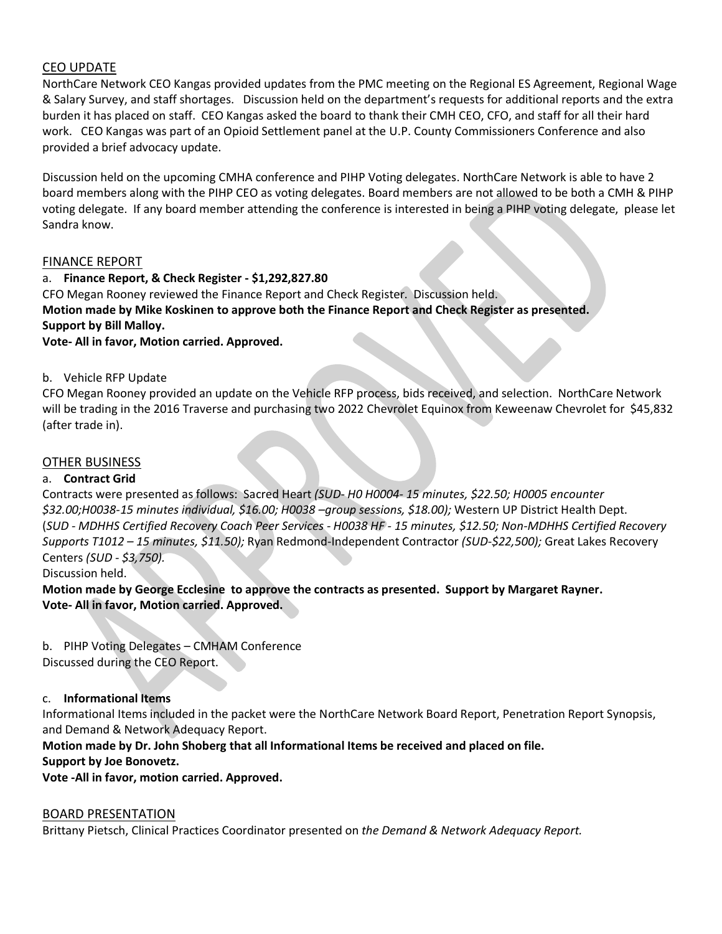# CEO UPDATE

NorthCare Network CEO Kangas provided updates from the PMC meeting on the Regional ES Agreement, Regional Wage & Salary Survey, and staff shortages. Discussion held on the department's requests for additional reports and the extra burden it has placed on staff. CEO Kangas asked the board to thank their CMH CEO, CFO, and staff for all their hard work. CEO Kangas was part of an Opioid Settlement panel at the U.P. County Commissioners Conference and also provided a brief advocacy update.

Discussion held on the upcoming CMHA conference and PIHP Voting delegates. NorthCare Network is able to have 2 board members along with the PIHP CEO as voting delegates. Board members are not allowed to be both a CMH & PIHP voting delegate. If any board member attending the conference is interested in being a PIHP voting delegate, please let Sandra know.

### FINANCE REPORT

a. **Finance Report, & Check Register - \$1,292,827.80** CFO Megan Rooney reviewed the Finance Report and Check Register. Discussion held. **Motion made by Mike Koskinen to approve both the Finance Report and Check Register as presented. Support by Bill Malloy. Vote- All in favor, Motion carried. Approved.**

b. Vehicle RFP Update

CFO Megan Rooney provided an update on the Vehicle RFP process, bids received, and selection. NorthCare Network will be trading in the 2016 Traverse and purchasing two 2022 Chevrolet Equinox from Keweenaw Chevrolet for \$45,832 (after trade in).

# OTHER BUSINESS

### a. **Contract Grid**

Contracts were presented as follows: Sacred Heart *(SUD- H0 H0004- 15 minutes, \$22.50; H0005 encounter \$32.00;H0038-15 minutes individual, \$16.00; H0038 –group sessions, \$18.00);* Western UP District Health Dept. (*SUD - MDHHS Certified Recovery Coach Peer Services - H0038 HF - 15 minutes, \$12.50; Non-MDHHS Certified Recovery Supports T1012 – 15 minutes, \$11.50);* Ryan Redmond-Independent Contractor *(SUD-\$22,500);* Great Lakes Recovery Centers *(SUD - \$3,750).*

Discussion held.

**Motion made by George Ecclesine to approve the contracts as presented. Support by Margaret Rayner. Vote- All in favor, Motion carried. Approved.**

b. PIHP Voting Delegates – CMHAM Conference Discussed during the CEO Report.

### c. **Informational Items**

Informational Items included in the packet were the NorthCare Network Board Report, Penetration Report Synopsis, and Demand & Network Adequacy Report.

**Motion made by Dr. John Shoberg that all Informational Items be received and placed on file. Support by Joe Bonovetz.**

**Vote -All in favor, motion carried. Approved.**

### BOARD PRESENTATION

Brittany Pietsch, Clinical Practices Coordinator presented on *the Demand & Network Adequacy Report.*